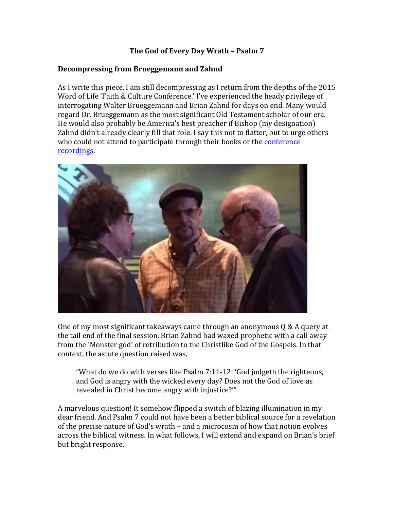## The God of Every Day Wrath - Psalm 7

#### **Decompressing from Brueggemann and Zahnd**

As I write this piece, I am still decompressing as I return from the depths of the 2015 Word of Life 'Faith & Culture Conference.' I've experienced the heady privilege of interrogating Walter Brueggemann and Brian Zahnd for days on end. Many would regard Dr. Brueggemann as the most significant Old Testament scholar of our era. He would also probably be America's best preacher if Bishop (my designation) Zahnd didn't already clearly fill that role. I say this not to flatter, but to urge others who could not attend to participate through their books or the conference recordings. 



One of my most significant takeaways came through an anonymous  $Q \& A$  query at the tail end of the final session. Brian Zahnd had waxed prophetic with a call away from the 'Monster god' of retribution to the Christlike God of the Gospels. In that context, the astute question raised was,

"What do we do with verses like  $P$ salm  $7:11-12$ : 'God judgeth the righteous, and God is angry with the wicked every day? Does not the God of love as revealed in Christ become angry with injustice?"

A marvelous question! It somehow flipped a switch of blazing illumination in my dear friend. And Psalm 7 could not have been a better biblical source for a revelation of the precise nature of God's wrath – and a microcosm of how that notion evolves across the biblical witness. In what follows, I will extend and expand on Brian's brief but bright response.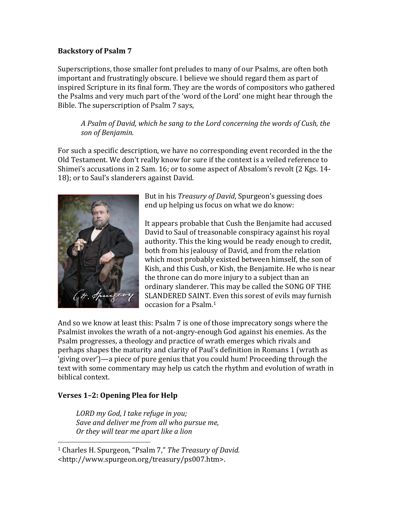### **Backstory of Psalm 7**

Superscriptions, those smaller font preludes to many of our Psalms, are often both important and frustratingly obscure. I believe we should regard them as part of inspired Scripture in its final form. They are the words of compositors who gathered the Psalms and very much part of the 'word of the Lord' one might hear through the Bible. The superscription of Psalm 7 says,

## *A* Psalm of David, which he sang to the Lord concerning the words of Cush, the *son of Benjamin.*

For such a specific description, we have no corresponding event recorded in the the Old Testament. We don't really know for sure if the context is a veiled reference to Shimei's accusations in 2 Sam. 16; or to some aspect of Absalom's revolt  $(2 \text{ Kgs. } 14$ -18); or to Saul's slanderers against David.



But in his *Treasury of David*, Spurgeon's guessing does end up helping us focus on what we do know:

It appears probable that Cush the Benjamite had accused David to Saul of treasonable conspiracy against his royal authority. This the king would be ready enough to credit, both from his jealousy of David, and from the relation which most probably existed between himself, the son of Kish, and this Cush, or Kish, the Benjamite. He who is near the throne can do more injury to a subject than an ordinary slanderer. This may be called the SONG OF THE SLANDERED SAINT. Even this sorest of evils may furnish occasion for a Psalm.<sup>1</sup>

And so we know at least this: Psalm 7 is one of those imprecatory songs where the Psalmist invokes the wrath of a not-angry-enough God against his enemies. As the Psalm progresses, a theology and practice of wrath emerges which rivals and perhaps shapes the maturity and clarity of Paul's definition in Romans 1 (wrath as 'giving over')—a piece of pure genius that you could hum! Proceeding through the text with some commentary may help us catch the rhythm and evolution of wrath in biblical context.

# **Verses 1–2: Opening Plea for Help**

 

*LORD my God, I take refuge in you;*  Save and deliver me from all who pursue me, *Or* they will tear me apart like a lion

<sup>&</sup>lt;sup>1</sup> Charles H. Spurgeon, "Psalm 7," *The Treasury of David.* <http://www.spurgeon.org/treasury/ps007.htm>.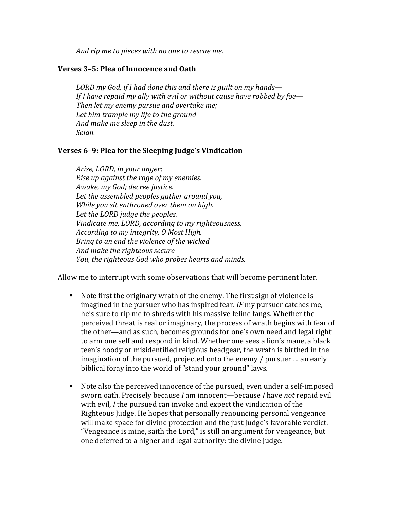*And rip me to pieces with no one to rescue me.* 

#### **Verses 3–5: Plea of Innocence and Oath**

*LORD* my God, if I had done this and there is guilt on my hands— *If I have repaid my ally with evil or without cause have robbed by foe— Then let my enemy pursue and overtake me;* Let him trample my life to the ground *And make me sleep in the dust. Selah.*

#### **Verses** 6-9: Plea for the Sleeping Judge's Vindication

Arise, LORD, in your anger; *Rise up against the rage of my enemies. Awake, my God; decree justice.* Let the assembled peoples gather around you, *While you sit enthroned over them on high.* Let the LORD judge the peoples. *Vindicate me, LORD, according to my righteousness, According to my integrity, O Most High. Bring to an end the violence of the wicked And make the righteous secure—* You, the righteous God who probes hearts and minds.

Allow me to interrupt with some observations that will become pertinent later.

- Note first the originary wrath of the enemy. The first sign of violence is imagined in the pursuer who has inspired fear. *IF* my pursuer catches me, he's sure to rip me to shreds with his massive feline fangs. Whether the perceived threat is real or imaginary, the process of wrath begins with fear of the other—and as such, becomes grounds for one's own need and legal right to arm one self and respond in kind. Whether one sees a lion's mane, a black teen's hoody or misidentified religious headgear, the wrath is birthed in the imagination of the pursued, projected onto the enemy  $/$  pursuer  $\ldots$  an early biblical foray into the world of "stand your ground" laws.
- lacktriangled Mote also the perceived innocence of the pursued, even under a self-imposed sworn oath. Precisely because *I* am innocent—because *I* have *not* repaid evil with evil, *I* the pursued can invoke and expect the vindication of the Righteous Judge. He hopes that personally renouncing personal vengeance will make space for divine protection and the just Judge's favorable verdict. "Vengeance is mine, saith the Lord," is still an argument for vengeance, but one deferred to a higher and legal authority: the divine Judge.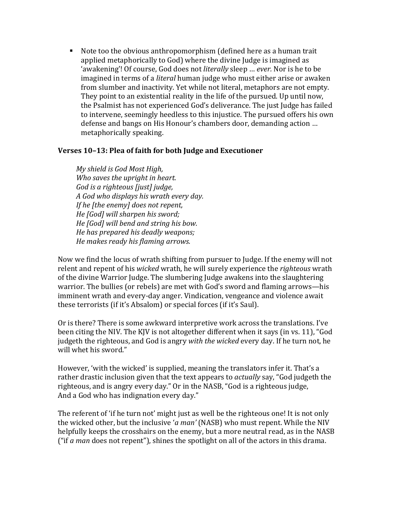$\blacksquare$  Note too the obvious anthropomorphism (defined here as a human trait applied metaphorically to God) where the divine Judge is imagined as 'awakening'! Of course, God does not *literally* sleep ... *ever*. Nor is he to be imagined in terms of a *literal* human judge who must either arise or awaken from slumber and inactivity. Yet while not literal, metaphors are not empty. They point to an existential reality in the life of the pursued. Up until now, the Psalmist has not experienced God's deliverance. The just Judge has failed to intervene, seemingly heedless to this injustice. The pursued offers his own defense and bangs on His Honour's chambers door, demanding action ... metaphorically speaking.

#### Verses 10-13: Plea of faith for both Judge and Executioner

*My shield is God Most High, Who saves the upright in heart. God is a righteous [just] judge*, *A God who displays his wrath every day. If* he *[the enemy]* does not repent, *He [God] will sharpen his sword; He* [God] will bend and string his bow. *He has prepared his deadly weapons; He makes ready his flaming arrows.*

Now we find the locus of wrath shifting from pursuer to Judge. If the enemy will not relent and repent of his *wicked* wrath, he will surely experience the *righteous* wrath of the divine Warrior Judge. The slumbering Judge awakens into the slaughtering warrior. The bullies (or rebels) are met with God's sword and flaming arrows—his imminent wrath and every-day anger. Vindication, vengeance and violence await these terrorists (if it's Absalom) or special forces (if it's Saul).

Or is there? There is some awkward interpretive work across the translations. I've been citing the NIV. The KIV is not altogether different when it says (in ys. 11), "God judgeth the righteous, and God is angry *with the wicked* every day. If he turn not, he will whet his sword."

However, 'with the wicked' is supplied, meaning the translators infer it. That's a rather drastic inclusion given that the text appears to *actually* say, "God judgeth the righteous, and is angry every day." Or in the NASB, "God is a righteous judge, And a God who has indignation every day."

The referent of 'if he turn not' might just as well be the righteous one! It is not only the wicked other, but the inclusive '*a* man' (NASB) who must repent. While the NIV helpfully keeps the crosshairs on the enemy, but a more neutral read, as in the NASB ("if  $a$  man does not repent"), shines the spotlight on all of the actors in this drama.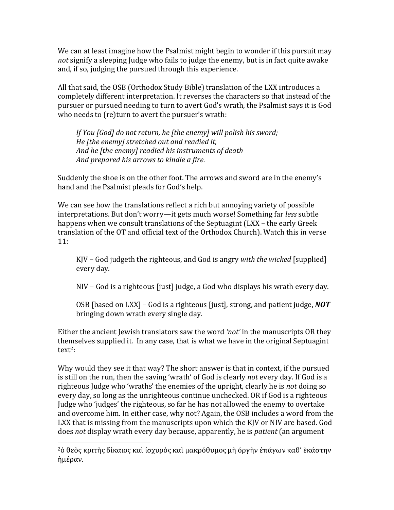We can at least imagine how the Psalmist might begin to wonder if this pursuit may *not* signify a sleeping Judge who fails to judge the enemy, but is in fact quite awake and, if so, judging the pursued through this experience.

All that said, the OSB (Orthodox Study Bible) translation of the LXX introduces a completely different interpretation. It reverses the characters so that instead of the pursuer or pursued needing to turn to avert God's wrath, the Psalmist says it is God who needs to (re)turn to avert the pursuer's wrath:

If You [God] do not return, he [the enemy] will polish his sword; *He [the enemy] stretched out and readied it,* And he [the enemy] readied his instruments of death And prepared his arrows to kindle a fire.

Suddenly the shoe is on the other foot. The arrows and sword are in the enemy's hand and the Psalmist pleads for God's help.

We can see how the translations reflect a rich but annoying variety of possible interpretations. But don't worry—it gets much worse! Something far *less* subtle happens when we consult translations of the Septuagint (LXX – the early Greek translation of the OT and official text of the Orthodox Church). Watch this in verse 11:

KJV – God judgeth the righteous, and God is angry *with the wicked* [supplied] every day.

NIV - God is a righteous [just] judge, a God who displays his wrath every day.

OSB [based on LXX] – God is a righteous [just], strong, and patient judge, **NOT** bringing down wrath every single day.

Either the ancient Jewish translators saw the word *'not'* in the manuscripts OR they themselves supplied it. In any case, that is what we have in the original Septuagint text2: 

Why would they see it that way? The short answer is that in context, if the pursued is still on the run, then the saving 'wrath' of God is clearly *not* every day. If God is a righteous Judge who 'wraths' the enemies of the upright, clearly he is *not* doing so every day, so long as the unrighteous continue unchecked. OR if God is a righteous Judge who 'judges' the righteous, so far he has not allowed the enemy to overtake and overcome him. In either case, why not? Again, the OSB includes a word from the LXX that is missing from the manuscripts upon which the KJV or NIV are based. God does *not* display wrath every day because, apparently, he is *patient* (an argument

 

<sup>2</sup>ὁ θεὸς κριτὴς δίκαιος καὶ ἰσχυρὸς καὶ μακρόθυμος μὴ ὀργὴν ἐπάγων καθ' ἑκάστην ἡμέραν.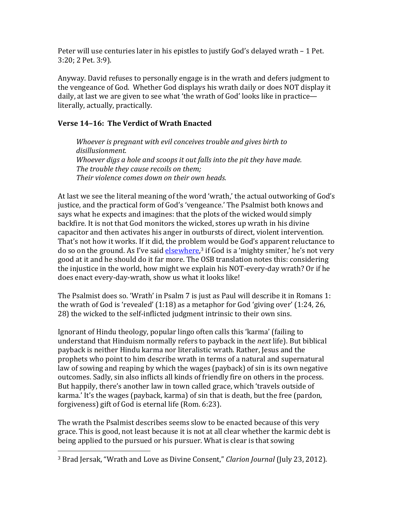Peter will use centuries later in his epistles to justify  $God's$  delayed wrath  $-1$  Pet. 3:20; 2 Pet. 3:9).

Anyway. David refuses to personally engage is in the wrath and defers judgment to the vengeance of God. Whether God displays his wrath daily or does NOT display it daily, at last we are given to see what 'the wrath of God' looks like in practice literally, actually, practically.

# **Verse 14-16: The Verdict of Wrath Enacted**

*Whoever is pregnant with evil conceives trouble and gives birth to disillusionment. Whoever digs a hole and scoops it out falls into the pit they have made.* The trouble they cause recoils on them; *Their violence comes down on their own heads.* 

At last we see the literal meaning of the word 'wrath,' the actual outworking of God's justice, and the practical form of God's 'vengeance.' The Psalmist both knows and says what he expects and imagines: that the plots of the wicked would simply backfire. It is not that God monitors the wicked, stores up wrath in his divine capacitor and then activates his anger in outbursts of direct, violent intervention. That's not how it works. If it did, the problem would be God's apparent reluctance to do so on the ground. As I've said **elsewhere**,<sup>3</sup> if God is a 'mighty smiter,' he's not very good at it and he should do it far more. The OSB translation notes this: considering the injustice in the world, how might we explain his NOT-every-day wrath? Or if he does enact every-day-wrath, show us what it looks like!

The Psalmist does so. 'Wrath' in Psalm  $7$  is just as Paul will describe it in Romans 1: the wrath of God is 'revealed'  $(1:18)$  as a metaphor for God 'giving over'  $(1:24, 26, 1:24)$ 28) the wicked to the self-inflicted judgment intrinsic to their own sins.

Ignorant of Hindu theology, popular lingo often calls this 'karma' (failing to understand that Hinduism normally refers to payback in the *next* life). But biblical payback is neither Hindu karma nor literalistic wrath. Rather, Jesus and the prophets who point to him describe wrath in terms of a natural and supernatural law of sowing and reaping by which the wages (payback) of sin is its own negative outcomes. Sadly, sin also inflicts all kinds of friendly fire on others in the process. But happily, there's another law in town called grace, which 'travels outside of karma.' It's the wages (payback, karma) of sin that is death, but the free (pardon, forgiveness) gift of God is eternal life (Rom. 6:23).

The wrath the Psalmist describes seems slow to be enacted because of this very grace. This is good, not least because it is not at all clear whether the karmic debt is being applied to the pursued or his pursuer. What is clear is that sowing

 

<sup>&</sup>lt;sup>3</sup> Brad Jersak, "Wrath and Love as Divine Consent," *Clarion Journal* (July 23, 2012).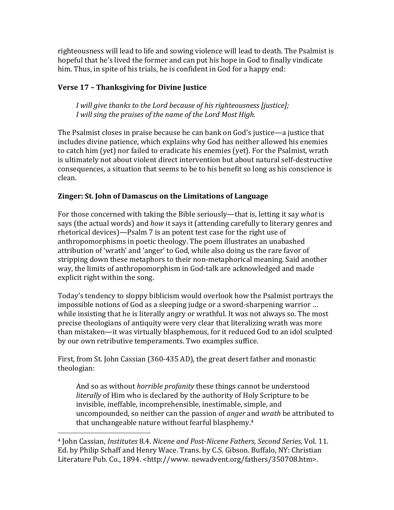righteousness will lead to life and sowing violence will lead to death. The Psalmist is hopeful that he's lived the former and can put his hope in God to finally vindicate him. Thus, in spite of his trials, he is confident in God for a happy end:

# **Verse 17 - Thanksgiving for Divine Justice**

*I* will give thanks to the Lord because of his righteousness [justice]; *I* will sing the praises of the name of the Lord Most High.

The Psalmist closes in praise because he can bank on God's justice—a justice that includes divine patience, which explains why God has neither allowed his enemies to catch him (yet) nor failed to eradicate his enemies (yet). For the Psalmist, wrath is ultimately not about violent direct intervention but about natural self-destructive consequences, a situation that seems to be to his benefit so long as his conscience is clean. 

# **Zinger: St. John of Damascus on the Limitations of Language**

For those concerned with taking the Bible seriously—that is, letting it say *what* is says (the actual words) and *how* it says it (attending carefully to literary genres and rhetorical devices)—Psalm  $7$  is an potent test case for the right use of anthropomorphisms in poetic theology. The poem illustrates an unabashed attribution of 'wrath' and 'anger' to God, while also doing us the rare favor of stripping down these metaphors to their non-metaphorical meaning. Said another way, the limits of anthropomorphism in God-talk are acknowledged and made explicit right within the song.

Today's tendency to sloppy biblicism would overlook how the Psalmist portrays the impossible notions of God as a sleeping judge or a sword-sharpening warrior ... while insisting that he is literally angry or wrathful. It was not always so. The most precise theologians of antiquity were very clear that literalizing wrath was more than mistaken—it was virtually blasphemous, for it reduced God to an idol sculpted by our own retributive temperaments. Two examples suffice.

First, from St. John Cassian  $(360-435$  AD), the great desert father and monastic theologian:

And so as without *horrible profanity* these things cannot be understood *literally* of Him who is declared by the authority of Holy Scripture to be invisible, ineffable, incomprehensible, inestimable, simple, and uncompounded, so neither can the passion of *anger* and *wrath* be attributed to that unchangeable nature without fearful blasphemy. $4$ 

 

<sup>4</sup> John Cassian, *Institutes* 8.4. *Nicene and Post-Nicene Fathers, Second Series,* Vol. 11. Ed. by Philip Schaff and Henry Wace. Trans. by C.S. Gibson. Buffalo, NY: Christian Literature Pub. Co., 1894. <http://www.newadvent.org/fathers/350708.htm>.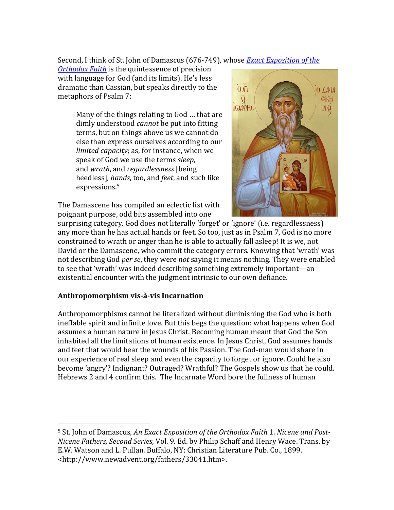Second, I think of St. John of Damascus (676-749), whose *Exact Exposition of the* 

*Orthodox Faith* is the quintessence of precision with language for God (and its limits). He's less dramatic than Cassian, but speaks directly to the metaphors of Psalm 7:

> Many of the things relating to God ... that are dimly understood *cannot* be put into fitting terms, but on things above us we cannot do else than express ourselves according to our *limited capacity*; as, for instance, when we speak of God we use the terms *sleep*, and *wrath*, and *regardlessness* [being] heedless]*, hands*, too, and *feet*, and such like expressions.<sup>5</sup>

The Damascene has compiled an eclectic list with poignant purpose, odd bits assembled into one



surprising category. God does not literally 'forget' or 'ignore' (i.e. regardlessness) any more than he has actual hands or feet. So too, just as in Psalm 7, God is no more constrained to wrath or anger than he is able to actually fall asleep! It is we, not David or the Damascene, who commit the category errors. Knowing that 'wrath' was not describing God *per se*, they were *not* saying it means nothing. They were enabled to see that 'wrath' was indeed describing something extremely important—an existential encounter with the judgment intrinsic to our own defiance.

# **Anthropomorphism vis-à-vis Incarnation**

 

Anthropomorphisms cannot be literalized without diminishing the God who is both ineffable spirit and infinite love. But this begs the question: what happens when God assumes a human nature in Jesus Christ. Becoming human meant that God the Son inhabited all the limitations of human existence. In Jesus Christ, God assumes hands and feet that would bear the wounds of his Passion. The God-man would share in our experience of real sleep and even the capacity to forget or ignore. Could he also become 'angry'? Indignant? Outraged? Wrathful? The Gospels show us that he could. Hebrews 2 and 4 confirm this. The Incarnate Word bore the fullness of human

<sup>&</sup>lt;sup>5</sup> St. John of Damascus, An Exact Exposition of the Orthodox Faith 1. Nicene and Post-*Nicene Fathers, Second Series, Vol.* 9. Ed. by Philip Schaff and Henry Wace. Trans. by E.W. Watson and L. Pullan. Buffalo, NY: Christian Literature Pub. Co., 1899. <http://www.newadvent.org/fathers/33041.htm>.